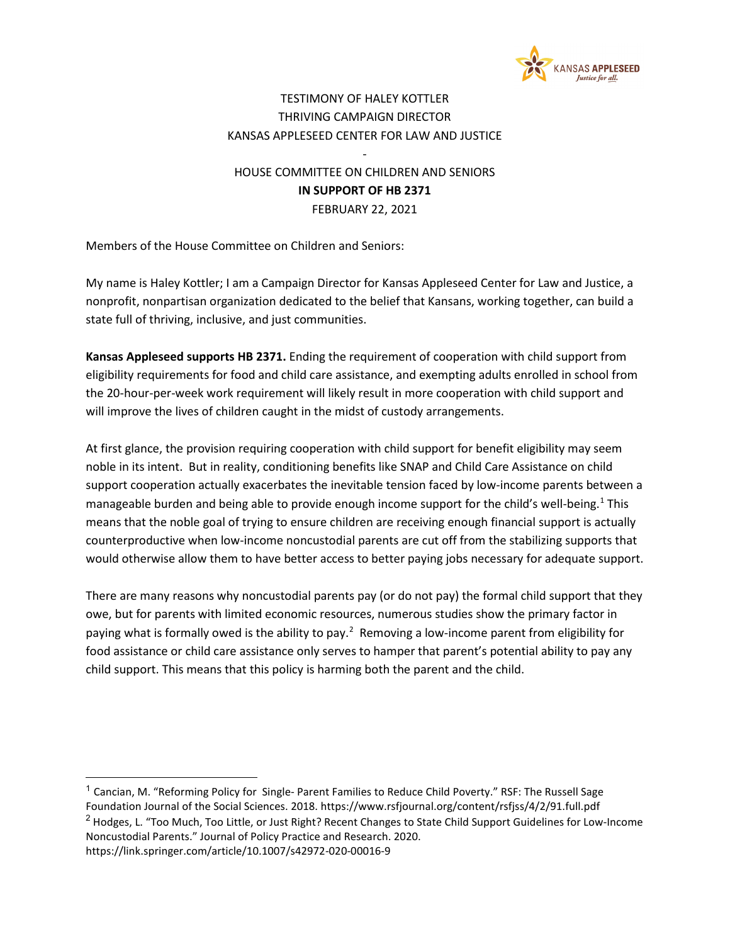

## TESTIMONY OF HALEY KOTTLER THRIVING CAMPAIGN DIRECTOR KANSAS APPLESEED CENTER FOR LAW AND JUSTICE

## HOUSE COMMITTEE ON CHILDREN AND SENIORS **IN SUPPORT OF HB 2371** FEBRUARY 22, 2021

-

Members of the House Committee on Children and Seniors:

My name is Haley Kottler; I am a Campaign Director for Kansas Appleseed Center for Law and Justice, a nonprofit, nonpartisan organization dedicated to the belief that Kansans, working together, can build a state full of thriving, inclusive, and just communities.

**Kansas Appleseed supports HB 2371.** Ending the requirement of cooperation with child support from eligibility requirements for food and child care assistance, and exempting adults enrolled in school from the 20-hour-per-week work requirement will likely result in more cooperation with child support and will improve the lives of children caught in the midst of custody arrangements.

At first glance, the provision requiring cooperation with child support for benefit eligibility may seem noble in its intent. But in reality, conditioning benefits like SNAP and Child Care Assistance on child support cooperation actually exacerbates the inevitable tension faced by low-income parents between a manageable burden and being able to provide enough income support for the child's well-being.<sup>[1](#page-0-0)</sup> This means that the noble goal of trying to ensure children are receiving enough financial support is actually counterproductive when low-income noncustodial parents are cut off from the stabilizing supports that would otherwise allow them to have better access to better paying jobs necessary for adequate support.

There are many reasons why noncustodial parents pay (or do not pay) the formal child support that they owe, but for parents with limited economic resources, numerous studies show the primary factor in paying what is formally owed is the ability to pay.<sup>[2](#page-0-1)</sup> Removing a low-income parent from eligibility for food assistance or child care assistance only serves to hamper that parent's potential ability to pay any child support. This means that this policy is harming both the parent and the child.

<span id="page-0-1"></span><span id="page-0-0"></span><sup>&</sup>lt;sup>1</sup> Cancian, M. "Reforming Policy for Single- Parent Families to Reduce Child Poverty." RSF: The Russell Sage Foundation Journal of the Social Sciences. 2018. https://www.rsfjournal.org/content/rsfjss/4/2/91.full.pdf <sup>2</sup> Hodges, L. "Too Much, Too Little, or Just Right? Recent Changes to State Child Support Guidelines for Low-Income Noncustodial Parents." Journal of Policy Practice and Research. 2020. https://link.springer.com/article/10.1007/s42972-020-00016-9